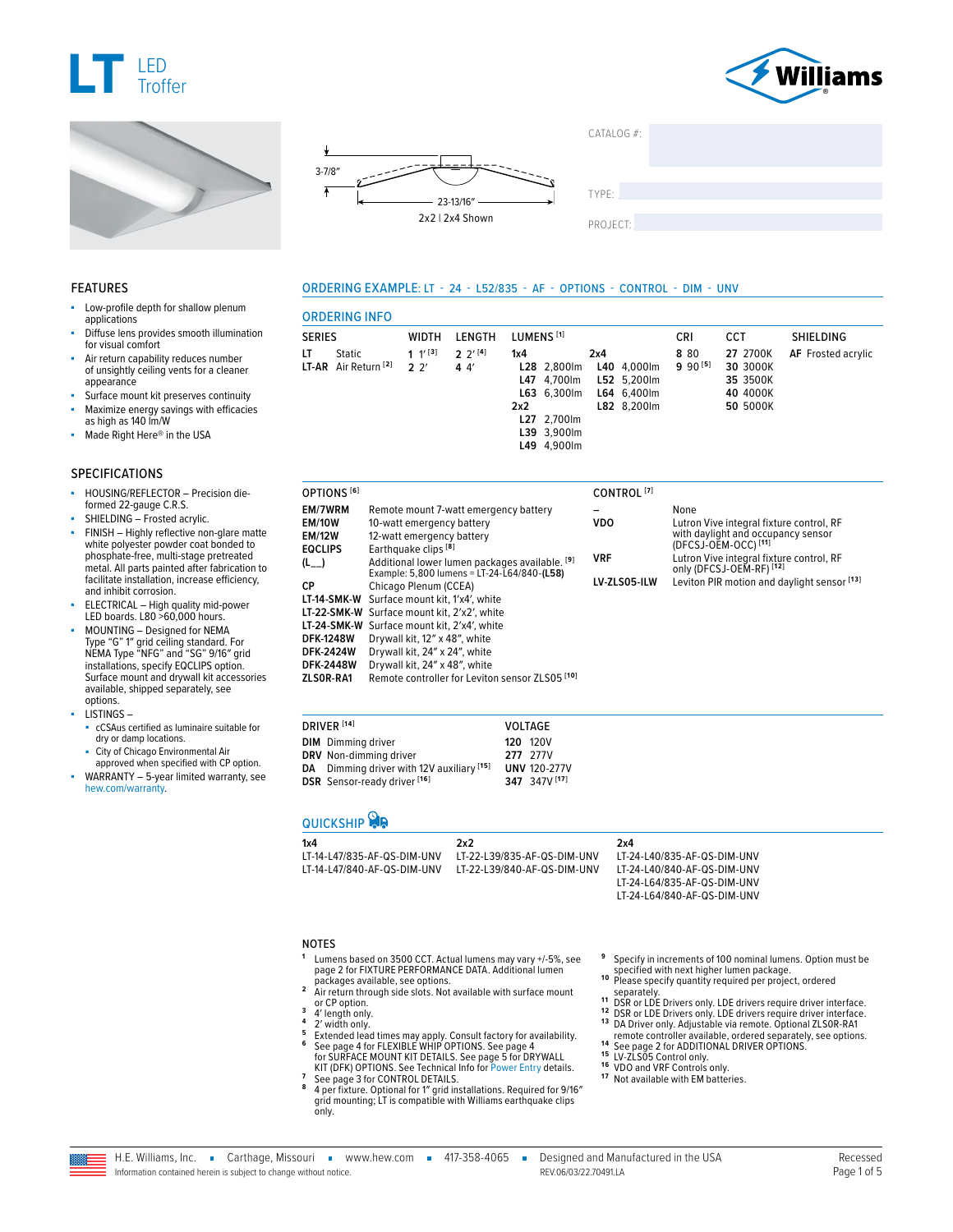







 $CATAI OG #<sup>2</sup>$ 

TYPE: ����������������������������������������������������

PROJECT:

#### ORDERING EXAMPLE: LT - 24 - L52/835 - AF - OPTIONS - CONTROL - DIM - UNV

## Low-profile depth for shallow plenum applications

- Diffuse lens provides smooth illumination for visual comfort
- Air return capability reduces number of unsightly ceiling vents for a cleaner appearance
- Surface mount kit preserves continuity Maximize energy savings with efficacies as high as 140 lm/W
- Made Right Here® in the USA

#### SPECIFICATIONS

FEATURES

- HOUSING/REFLECTOR Precision dieformed 22-gauge C.R.S.
- SHIELDING Frosted acrylic.
- FINISH Highly reflective non-glare matte white polyester powder coat bonded to phosphate-free, multi-stage pretreated metal. All parts painted after fabrication to facilitate installation, increase efficiency, and inhibit corrosion.
- ELECTRICAL High quality mid-power LED boards. L80 >60,000 hours.
- MOUNTING Designed for NEMA Type "G" 1″ grid ceiling standard. For NEMA Type "NFG" and "SG" 9/16″ grid installations, specify EQCLIPS option. Surface mount and drywall kit accessories available, shipped separately, see options.
- LISTINGS –
- cCSAus certified as luminaire suitable for dry or damp locations.
- City of Chicago Environmental Air approved when specified with CP option.
- WARRANTY 5-year limited warranty, see [hew.com/warranty.](https://www.hew.com/resources/warranty-and-terms)

SERIES WIDTH LENGTH LUMENS **[1]** CRI CCT SHIELDING **LT** Static **LT-AR** Air Return **[2] 1** 1′ **[3] 2** 2′ **2** 2′ **[4] 4** 4′ **1x4 L28** 2,800lm **L47** 4,700lm **L63** 6,300lm **2x2 L27** 2,700lm **L39** 3,900lm **L49** 4,900lm **2x4 L40** 4,000lm **L52** 5,200lm **L64** 6,400lm **L82** 8,200lm **8** 80 **9** 90 **[5] 27** 2700K **30** 3000K **35** 3500K **40** 4000K **50** 5000K **AF** Frosted acrylic

| OPTIONS [6]                               |                                                                                                                       | CONTROL <sup>[7]</sup>     |                                                                                                                                |
|-------------------------------------------|-----------------------------------------------------------------------------------------------------------------------|----------------------------|--------------------------------------------------------------------------------------------------------------------------------|
| EM/7WRM<br><b>EM/10W</b><br><b>EM/12W</b> | Remote mount 7-watt emergency battery<br>10-watt emergency battery<br>12-watt emergency battery                       | <b>VDO</b>                 | None<br>Lutron Vive integral fixture control, RF<br>with daylight and occupancy sensor<br>(DFCSJ-OEM-OCC) <sup>[11]</sup>      |
| EQCLIPS<br>$(L_+)$                        | Earthquake clips [8]<br>Additional lower lumen packages available. [9]<br>Example: 5,800 lumens = LT-24-L64/840-(L58) | <b>VRF</b><br>LV-ZLS05-ILW | Lutron Vive integral fixture control. RF<br>only (DFCSJ-OEM-RF) <sup>[12]</sup><br>Leviton PIR motion and daylight sensor [13] |
| СP                                        | Chicago Plenum (CCEA)<br>LT-14-SMK-W Surface mount kit, 1'x4', white<br>LT-22-SMK-W Surface mount kit. 2'x2'. white   |                            |                                                                                                                                |
| <b>DFK-1248W</b><br><b>DFK-2424W</b>      | LT-24-SMK-W Surface mount kit, 2'x4', white<br>Drywall kit, 12" x 48", white<br>Drywall kit, 24" x 24", white         |                            |                                                                                                                                |
| <b>DFK-2448W</b><br>ZLSOR-RA1             | Drywall kit, 24" x 48", white<br>Remote controller for Leviton sensor ZLS05 <sup>[10]</sup>                           |                            |                                                                                                                                |

| DRIVER <sup>[14]</sup>                    | <b>VOLTAGE</b>      |
|-------------------------------------------|---------------------|
| <b>DIM</b> Dimming driver                 | <b>120 120V</b>     |
| DRV Non-dimming driver                    | 277 277V            |
| DA Dimming driver with 12V auxiliary [15] | <b>UNV 120-277V</b> |
| DSR Sensor-ready driver [16]              | 347 347V [17]       |

## **QUICKSHIP**

ORDERING INFO

| LT-22-L39/835-AF-QS-DIM-UNV |
|-----------------------------|
| LT-22-L39/840-AF-QS-DIM-UNV |
|                             |

**2x4**

LT-24-L40/835-AF-QS-DIM-UNV LT-24-L40/840-AF-QS-DIM-UNV LT-24-L64/835-AF-QS-DIM-UNV LT-24-L64/840-AF-QS-DIM-UNV

#### NOTES

- **<sup>1</sup>** Lumens based on 3500 CCT. Actual lumens may vary +/-5%, [see](#page-1-0)  [page 2 for FIXTURE PERFORMANCE DATA.](#page-1-0) Additional lumen
- packages available, see options.<br> **2** Air return through side slots. Not available with surface mount<br>
or CP option.
- 
- 
- or CP option.<br>3 4' length only.<br>4 2' width only.<br>5 Extended lead times may apply. Consult factory for availability.<br>6 [See page 4 for FLEXIBLE WHIP OPTIONS.](#page-3-0) See page 4<br>[for SURFACE MOUNT KIT DETAILS.](#page-3-1) See page 5 for DRYWALL
- XIT (DFK) OPTIONS. See Technical Info for [Power Entry](https://www.hew.com/specifications/70346.pdf) details.<br>The page 3 for CONTROL DETAILS.<br>A perfixture. Optional for 1" grid installations. Required for 9/16"<br>grid mounting; LT is compatible with Williams earthquake c
- only.
- **<sup>9</sup>** Specify in increments of 100 nominal lumens. Option must be
- Please specify quantity required per project, ordered <sup>12</sup> Please specify qualitions.<br>
19 Separately. LDE drivers require driver interface.<br>
19 DSR or LDE Drivers only. LDE drivers require driver interface.<br>
12 DSR or LDE Drivers only. LDE drivers require driver interface.<br>
1
- 
- 
- <sup>14</sup> See page 2 for ADDITIONAL DRIVER OPTIONS<br><sup>15</sup> LV-ZLS05 Control only.<br><sup>15</sup> VDO and VRF Control sonly.<br><sup>17</sup> Not available with EM batteries.
- 
- 
-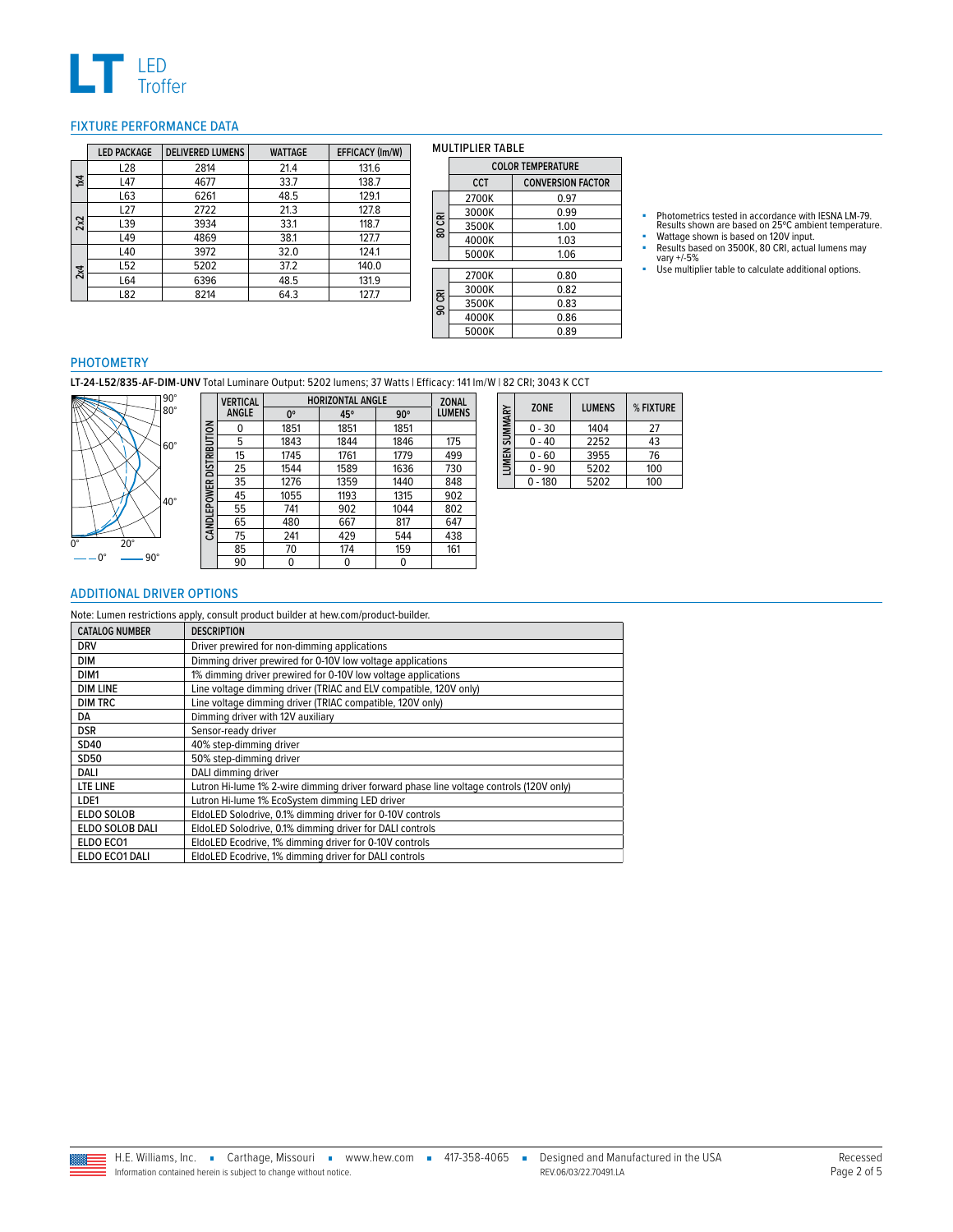

#### <span id="page-1-0"></span>FIXTURE PERFORMANCE DATA

|                         | <b>LED PACKAGE</b> | <b>DELIVERED LUMENS</b> | <b>WATTAGE</b> | EFFICACY (Im/W) |
|-------------------------|--------------------|-------------------------|----------------|-----------------|
|                         | L <sub>28</sub>    | 2814                    | 21.4           | 131.6           |
| $\overline{\mathbf{x}}$ | L47                | 4677                    | 33.7           | 138.7           |
|                         | L63                | 6261                    | 48.5           | 129.1           |
|                         | L27                | 2722                    | 21.3           | 127.8           |
| 2x2                     | L39                | 3934                    | 33.1           | 118.7           |
|                         | L49                | 4869                    | 38.1           | 127.7           |
|                         | L40                | 3972                    | 32.0           | 124.1           |
| 2x4                     | L52                | 5202                    | 37.2           | 140.0           |
|                         | L64                | 6396                    | 48.5           | 131.9           |
|                         | L82                | 8214                    | 64.3           | 127.7           |

|        | <b>COLOR TEMPERATURE</b> |                          |  |
|--------|--------------------------|--------------------------|--|
|        | <b>CCT</b>               | <b>CONVERSION FACTOR</b> |  |
|        | 2700K                    | 0.97                     |  |
|        | 3000K                    | 0.99                     |  |
| 80 CRI | 3500K                    | 1.00                     |  |
|        | 4000K                    | 1.03                     |  |
|        | 5000K                    | 1.06                     |  |
|        |                          |                          |  |
|        | 2700K                    | 0.80                     |  |
|        | 3000K                    | 0.82                     |  |
| 90 CRI | 3500K                    | 0.83                     |  |
|        | 4000K                    | 0.86                     |  |
|        | 5000K                    | 0.89                     |  |

MULTIPLIER TABLE

- Photometrics tested in accordance with IESNA LM-79.<br>• Results shown are based on 25°C ambient temperature.<br>• Wattage shown is based on 120V input.<br>• Results based on 3500K, 80 CRI, actual lumens may<br>• vary +/-5%<br>• Use mu
- 
- 

#### PHOTOMETRY

**LT-24-L52/835-AF-DIM-UNV** Total Luminare Output: 5202 lumens; 37 Watts | Efficacy: 141 lm/W | 82 CRI; 3043 K CCT



|                          | <b>VERTICAL</b> | <b>HORIZONTAL ANGLE</b> |      |            | <b>ZONAL</b>  |
|--------------------------|-----------------|-------------------------|------|------------|---------------|
|                          | <b>ANGLE</b>    | 0°                      | 45°  | $90^\circ$ | <b>LUMENS</b> |
|                          | 0               | 1851                    | 1851 | 1851       |               |
|                          | 5               | 1843                    | 1844 | 1846       | 175           |
|                          | 15              | 1745                    | 1761 | 1779       | 499           |
|                          | 25              | 1544                    | 1589 | 1636       | 730           |
|                          | 35              | 1276                    | 1359 | 1440       | 848           |
|                          | 45              | 1055                    | 1193 | 1315       | 902           |
| CANDLEPOWER DISTRIBUTION | 55              | 741                     | 902  | 1044       | 802           |
|                          | 65              | 480                     | 667  | 817        | 647           |
|                          | 75              | 241                     | 429  | 544        | 438           |
|                          | 85              | 70                      | 174  | 159        | 161           |
|                          | 90              | 0                       |      | 0          |               |

| LUMEN SUMMARY | <b>ZONE</b> | <b>LUMENS</b> | % FIXTURE |
|---------------|-------------|---------------|-----------|
|               | $0 - 30$    | 1404          | 27        |
|               | $0 - 40$    | 2252          | 43        |
|               | $0 - 60$    | 3955          | 76        |
|               | $0 - 90$    | 5202          | 100       |
|               | $0 - 180$   | 5202          | 100       |

## <span id="page-1-1"></span>ADDITIONAL DRIVER OPTIONS

| Note: Lumen restrictions apply, consult product builder at hew.com/product-builder. |                                                                                         |  |
|-------------------------------------------------------------------------------------|-----------------------------------------------------------------------------------------|--|
| <b>CATALOG NUMBER</b>                                                               | <b>DESCRIPTION</b>                                                                      |  |
| <b>DRV</b>                                                                          | Driver prewired for non-dimming applications                                            |  |
| DIM                                                                                 | Dimming driver prewired for 0-10V low voltage applications                              |  |
| DIM <sub>1</sub>                                                                    | 1% dimming driver prewired for 0-10V low voltage applications                           |  |
| <b>DIM LINE</b>                                                                     | Line voltage dimming driver (TRIAC and ELV compatible, 120V only)                       |  |
| <b>DIM TRC</b>                                                                      | Line voltage dimming driver (TRIAC compatible, 120V only)                               |  |
| DA                                                                                  | Dimming driver with 12V auxiliary                                                       |  |
| <b>DSR</b>                                                                          | Sensor-ready driver                                                                     |  |
| SD40                                                                                | 40% step-dimming driver                                                                 |  |
| <b>SD50</b>                                                                         | 50% step-dimming driver                                                                 |  |
| DALI                                                                                | DALI dimming driver                                                                     |  |
| LTE LINE                                                                            | Lutron Hi-lume 1% 2-wire dimming driver forward phase line voltage controls (120V only) |  |
| LDE1                                                                                | Lutron Hi-lume 1% EcoSystem dimming LED driver                                          |  |
| <b>ELDO SOLOB</b>                                                                   | EldoLED Solodrive, 0.1% dimming driver for 0-10V controls                               |  |
| ELDO SOLOB DALI                                                                     | EldoLED Solodrive, 0.1% dimming driver for DALI controls                                |  |
| ELDO ECO1                                                                           | EldoLED Ecodrive, 1% dimming driver for 0-10V controls                                  |  |
| ELDO ECO1 DALI                                                                      | EldoLED Ecodrive, 1% dimming driver for DALI controls                                   |  |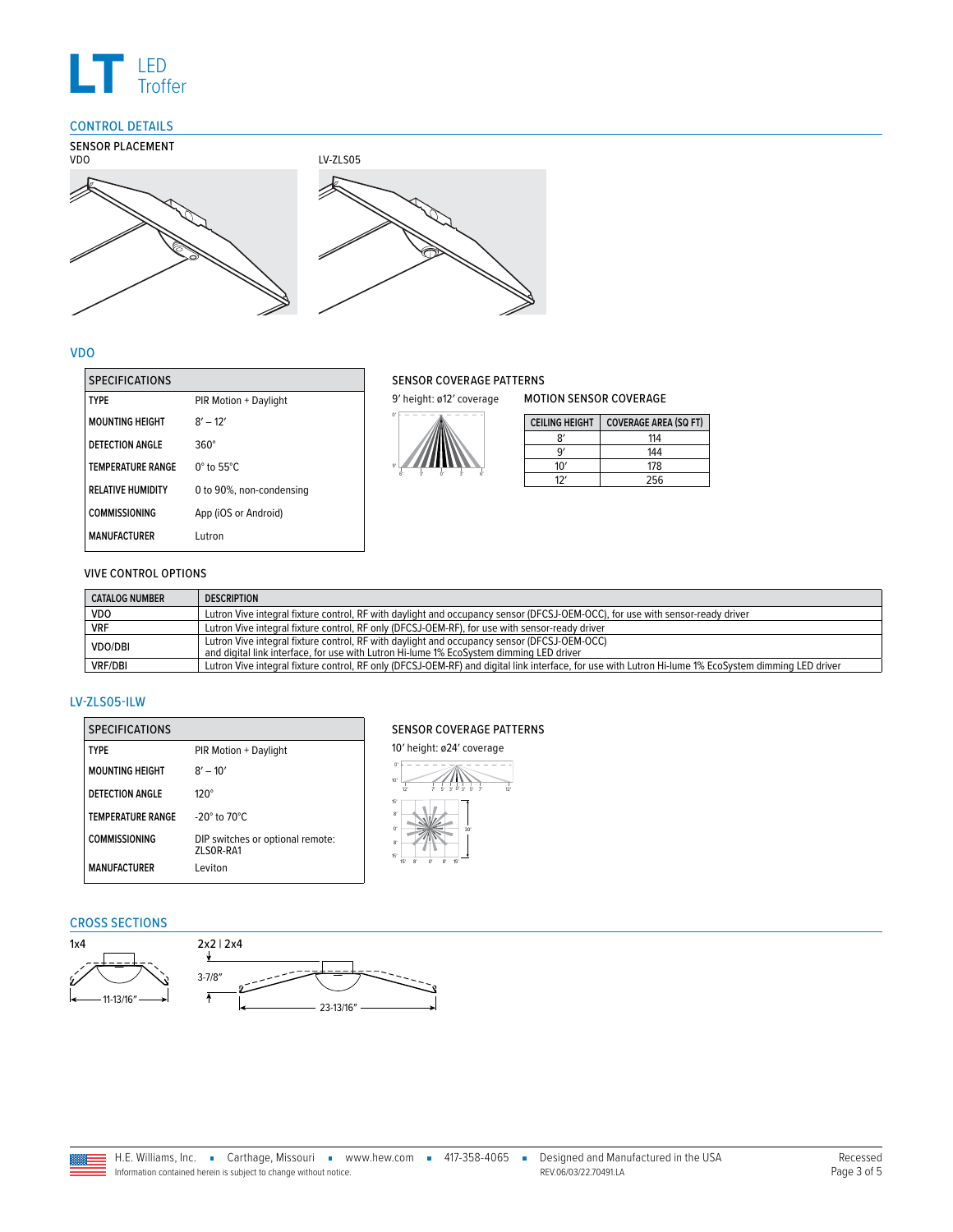

## <span id="page-2-0"></span>CONTROL DETAILS



## VDO

| <b>SPECIFICATIONS</b>    |                             |
|--------------------------|-----------------------------|
| TYPF                     | PIR Motion + Daylight       |
| <b>MOUNTING HEIGHT</b>   | $8' - 12'$                  |
| DETECTION ANGLE          | 360°                        |
| <b>TEMPERATURE RANGE</b> | $0^\circ$ to 55 $^\circ$ C. |
| <b>RELATIVE HUMIDITY</b> | 0 to 90%, non-condensing    |
| <b>COMMISSIONING</b>     | App (iOS or Android)        |
| <b>MANUFACTURER</b>      | Lutron                      |

#### SENSOR COVERAGE PATTERNS



6′

3′ 0′ 3′ 6′

MOTION SENSOR COVERAGE

| <b>CEILING HEIGHT</b> | <b>COVERAGE AREA (SQ FT)</b> |
|-----------------------|------------------------------|
|                       | 114                          |
| ٩                     | 144                          |
| 10'                   | 178                          |
|                       | 256                          |

## VIVE CONTROL OPTIONS

| <b>CATALOG NUMBER</b> | <b>DESCRIPTION</b>                                                                                                                                                                     |
|-----------------------|----------------------------------------------------------------------------------------------------------------------------------------------------------------------------------------|
| VDO.                  | Lutron Vive integral fixture control, RF with daylight and occupancy sensor (DFCSJ-OEM-OCC), for use with sensor-ready driver                                                          |
| <b>VRF</b>            | Lutron Vive integral fixture control, RF only (DFCSJ-OEM-RF), for use with sensor-ready driver                                                                                         |
| <b>VDO/DBI</b>        | Lutron Vive integral fixture control, RF with daylight and occupancy sensor (DFCSJ-OEM-OCC)<br>and digital link interface, for use with Lutron Hi-lume 1% EcoSystem dimming LED driver |
| <b>VRF/DBI</b>        | Lutron Vive integral fixture control, RF only (DFCSJ-OEM-RF) and digital link interface, for use with Lutron Hi-lume 1% EcoSystem dimming LED driver                                   |

## LV-ZLS05-ILW

| <b>SPECIFICATIONS</b>    |                                                |
|--------------------------|------------------------------------------------|
| <b>TYPF</b>              | PIR Motion + Daylight                          |
| <b>MOUNTING HEIGHT</b>   | $8' - 10'$                                     |
| DETECTION ANGLE          | $120^\circ$                                    |
| <b>TEMPERATURE RANGE</b> | $-20^\circ$ to $70^\circ$ C.                   |
| <b>COMMISSIONING</b>     | DIP switches or optional remote:<br>71 SOR-RA1 |
| <b>MANUFACTURFR</b>      | I eviton                                       |

# SENSOR COVERAGE PATTERNS



## CROSS SECTIONS

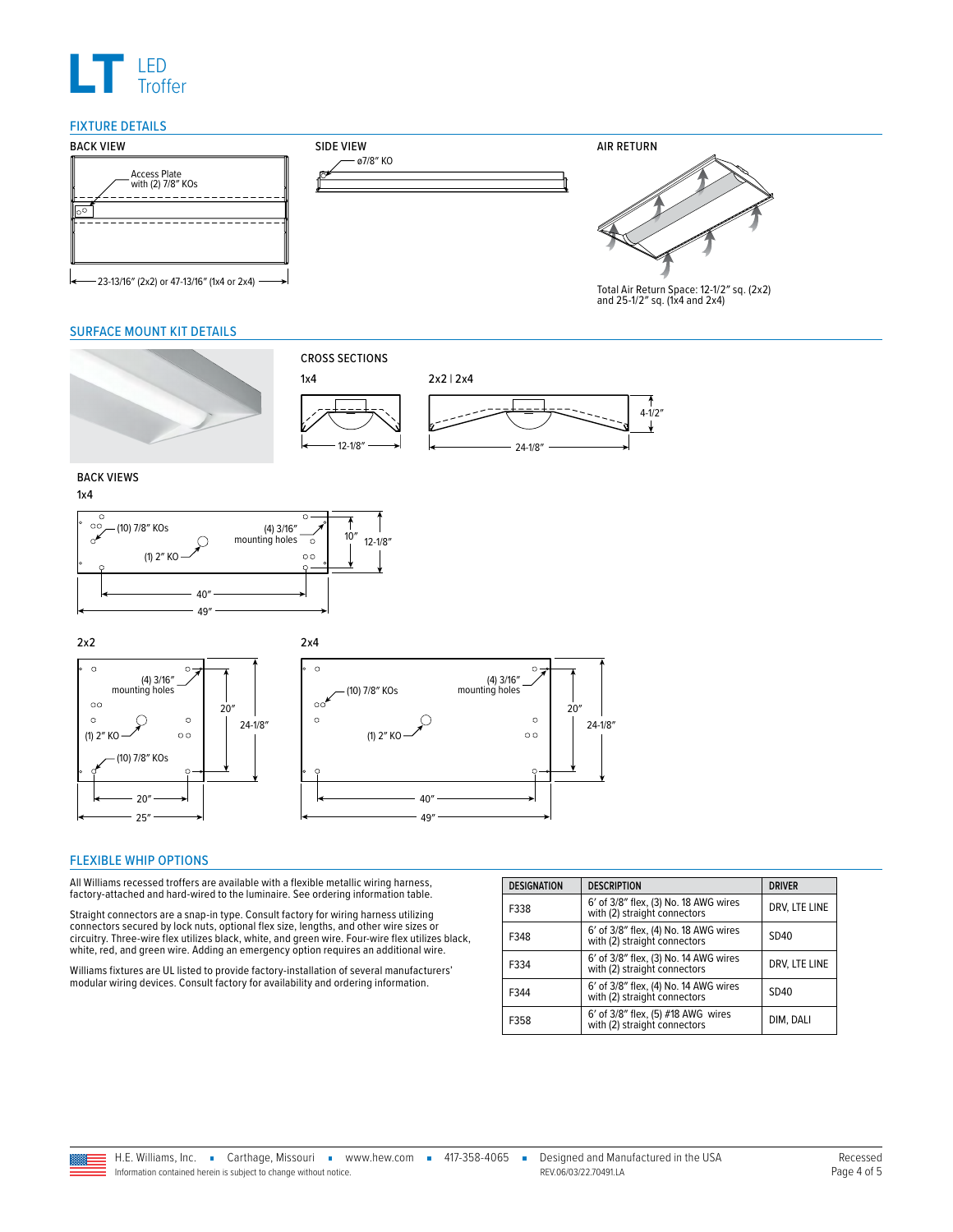

#### FIXTURE DETAILS



#### <span id="page-3-1"></span>SURFACE MOUNT KIT DETAILS





#### <span id="page-3-0"></span>FLEXIBLE WHIP OPTIONS

All Williams recessed troffers are available with a flexible metallic wiring harness, factory-attached and hard-wired to the luminaire. See ordering information table.

Straight connectors are a snap-in type. Consult factory for wiring harness utilizing connectors secured by lock nuts, optional flex size, lengths, and other wire sizes or circuitry. Three-wire flex utilizes black, white, and green wire. Four-wire flex utilizes black, white, red, and green wire. Adding an emergency option requires an additional wire.

Williams fixtures are UL listed to provide factory-installation of several manufacturers' modular wiring devices. Consult factory for availability and ordering information.

| <b>DESIGNATION</b> | <b>DESCRIPTION</b>                                                    | <b>DRIVER</b> |  |
|--------------------|-----------------------------------------------------------------------|---------------|--|
| F338               | 6' of 3/8" flex, (3) No. 18 AWG wires<br>with (2) straight connectors | DRV, LTE LINE |  |
| F348               | 6' of 3/8" flex, (4) No. 18 AWG wires<br>with (2) straight connectors | SD40          |  |
| F334               | 6' of 3/8" flex, (3) No. 14 AWG wires<br>with (2) straight connectors | DRV, LTE LINE |  |
| F344               | 6' of 3/8" flex, (4) No. 14 AWG wires<br>with (2) straight connectors | SD40          |  |
| F358               | 6' of 3/8" flex, (5) #18 AWG wires<br>with (2) straight connectors    | DIM, DALI     |  |